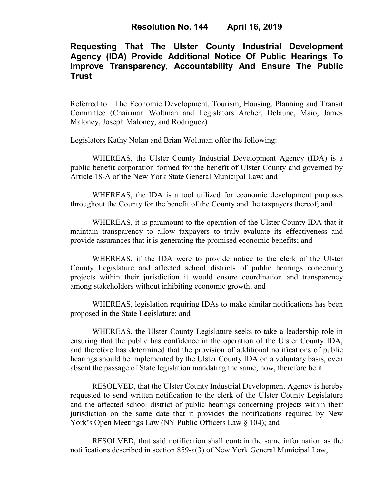## **Requesting That The Ulster County Industrial Development Agency (IDA) Provide Additional Notice Of Public Hearings To Improve Transparency, Accountability And Ensure The Public Trust**

Referred to: The Economic Development, Tourism, Housing, Planning and Transit Committee (Chairman Woltman and Legislators Archer, Delaune, Maio, James Maloney, Joseph Maloney, and Rodriguez)

Legislators Kathy Nolan and Brian Woltman offer the following:

WHEREAS, the Ulster County Industrial Development Agency (IDA) is a public benefit corporation formed for the benefit of Ulster County and governed by Article 18-A of the New York State General Municipal Law; and

WHEREAS, the IDA is a tool utilized for economic development purposes throughout the County for the benefit of the County and the taxpayers thereof; and

WHEREAS, it is paramount to the operation of the Ulster County IDA that it maintain transparency to allow taxpayers to truly evaluate its effectiveness and provide assurances that it is generating the promised economic benefits; and

WHEREAS, if the IDA were to provide notice to the clerk of the Ulster County Legislature and affected school districts of public hearings concerning projects within their jurisdiction it would ensure coordination and transparency among stakeholders without inhibiting economic growth; and

WHEREAS, legislation requiring IDAs to make similar notifications has been proposed in the State Legislature; and

WHEREAS, the Ulster County Legislature seeks to take a leadership role in ensuring that the public has confidence in the operation of the Ulster County IDA, and therefore has determined that the provision of additional notifications of public hearings should be implemented by the Ulster County IDA on a voluntary basis, even absent the passage of State legislation mandating the same; now, therefore be it

RESOLVED, that the Ulster County Industrial Development Agency is hereby requested to send written notification to the clerk of the Ulster County Legislature and the affected school district of public hearings concerning projects within their jurisdiction on the same date that it provides the notifications required by New York's Open Meetings Law (NY Public Officers Law  $\S$  104); and

RESOLVED, that said notification shall contain the same information as the notifications described in section 859-a(3) of New York General Municipal Law,